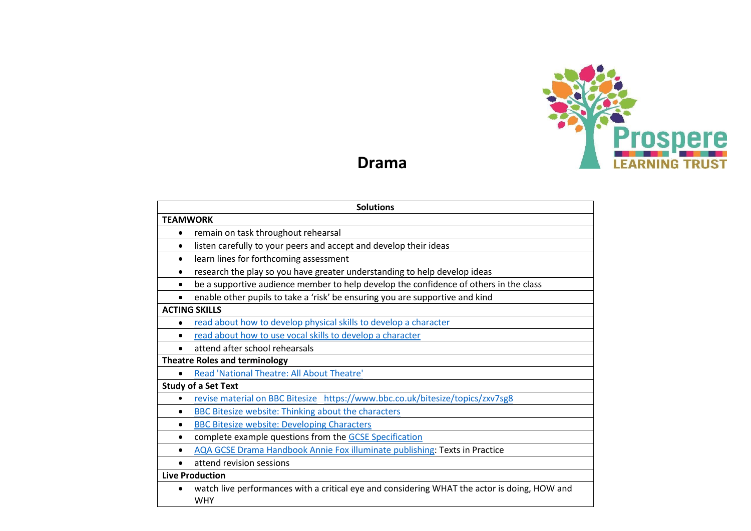

## **Drama**

| <b>Solutions</b>                                                                                           |  |
|------------------------------------------------------------------------------------------------------------|--|
| <b>TEAMWORK</b>                                                                                            |  |
| remain on task throughout rehearsal<br>٠                                                                   |  |
| listen carefully to your peers and accept and develop their ideas<br>$\bullet$                             |  |
| learn lines for forthcoming assessment<br>$\bullet$                                                        |  |
| research the play so you have greater understanding to help develop ideas<br>$\bullet$                     |  |
| be a supportive audience member to help develop the confidence of others in the class                      |  |
| enable other pupils to take a 'risk' be ensuring you are supportive and kind                               |  |
| <b>ACTING SKILLS</b>                                                                                       |  |
| read about how to develop physical skills to develop a character<br>$\bullet$                              |  |
| read about how to use vocal skills to develop a character<br>$\bullet$                                     |  |
| attend after school rehearsals<br>$\bullet$                                                                |  |
| <b>Theatre Roles and terminology</b>                                                                       |  |
| Read 'National Theatre: All About Theatre'<br>$\bullet$                                                    |  |
| <b>Study of a Set Text</b>                                                                                 |  |
| revise material on BBC Bitesize https://www.bbc.co.uk/bitesize/topics/zxv7sg8<br>$\bullet$                 |  |
| <b>BBC Bitesize website: Thinking about the characters</b><br>$\bullet$                                    |  |
| <b>BBC Bitesize website: Developing Characters</b><br>$\bullet$                                            |  |
| complete example questions from the GCSE Specification<br>٠                                                |  |
| AQA GCSE Drama Handbook Annie Fox illuminate publishing: Texts in Practice<br>$\bullet$                    |  |
| attend revision sessions<br>$\bullet$                                                                      |  |
| <b>Live Production</b>                                                                                     |  |
| watch live performances with a critical eye and considering WHAT the actor is doing, HOW and<br><b>WHY</b> |  |